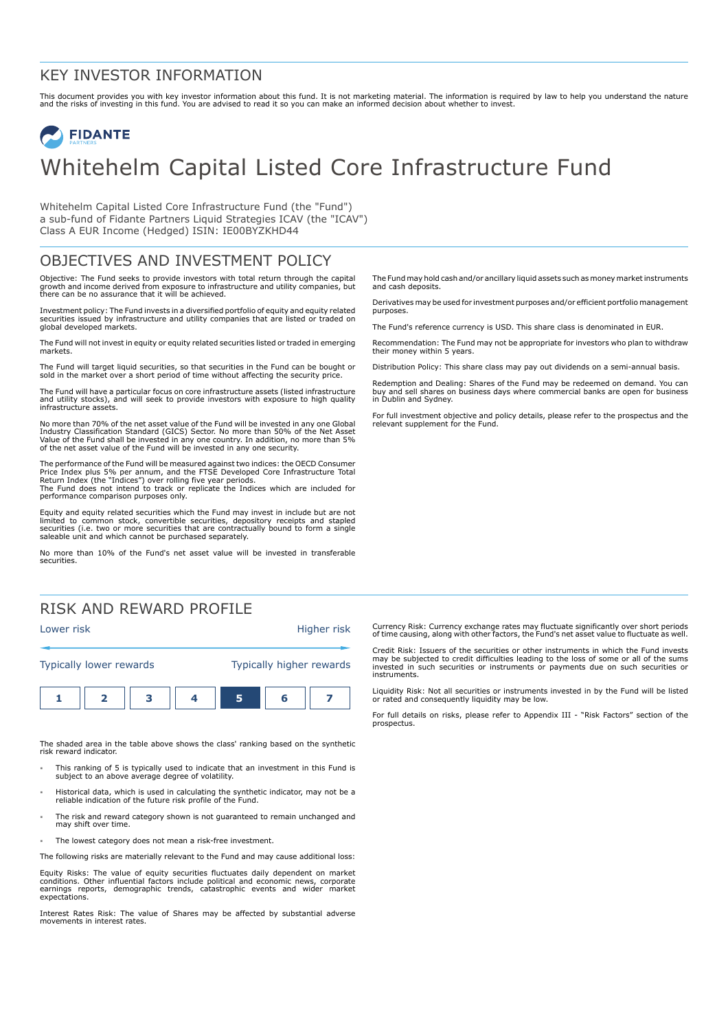### KEY INVESTOR INFORMATION

This document provides you with key investor information about this fund. It is not marketing material. The information is required by law to help you understand the nature<br>and the risks of investing in this fund. You are

# **FIDANTE** Whitehelm Capital Listed Core Infrastructure Fund

Whitehelm Capital Listed Core Infrastructure Fund (the "Fund") a sub-fund of Fidante Partners Liquid Strategies ICAV (the "ICAV") Class A EUR Income (Hedged) ISIN: IE00BYZKHD44

## OBJECTIVES AND INVESTMENT POLICY

Objective: The Fund seeks to provide investors with total return through the capital growth and income derived from exposure to infrastructure and utility companies, but there can be no assurance that it will be achieved.

Investment policy: The Fund invests in a diversified portfolio of equity and equity related securities issued by infrastructure and utility companies that are listed or traded on global developed markets.

The Fund will not invest in equity or equity related securities listed or traded in emerging markets.

The Fund will target liquid securities, so that securities in the Fund can be bought or sold in the market over a short period of time without affecting the security price.

The Fund will have a particular focus on core infrastructure assets (listed infrastructure and utility stocks), and will seek to provide investors with exposure to high quality infrastructure assets.

No more than 70% of the net asset value of the Fund will be invested in any one Global Industry Classification Standard (GICS) Sector. No more than 50% of the Net Asset<br>Value of the Fund shall be invested in any one country. In addition, no more than 5%<br>of the net asset value of the Fund will be invested in

The performance of the Fund will be measured against two indices: the OECD Consumer Price Index plus 5% per annum, and the FTSE Developed Core Infrastructure Total<br>Return Index (the "Indices") over rolling five year periods.<br>The Fund does not intend to track or replicate the Indices which are included for performance comparison purposes only.

Equity and equity related securities which the Fund may invest in include but are not limited to common stock, convertible securities, depository receipts and stapled securities (i.e. two or more securities that are contractually bound to form a single saleable unit and which cannot be purchased separately.

No more than 10% of the Fund's net asset value will be invested in transferable securities.

# RISK AND REWARD PROFILE



The shaded area in the table above shows the class' ranking based on the synthetic risk reward indicator.

- 1 This ranking of 5 is typically used to indicate that an investment in this Fund is subject to an above average degree of volatility.
- 1 Historical data, which is used in calculating the synthetic indicator, may not be a reliable indication of the future risk profile of the Fund.
- The risk and reward category shown is not guaranteed to remain unchanged and may shift over time.
- The lowest category does not mean a risk-free investment.

The following risks are materially relevant to the Fund and may cause additional loss:

Equity Risks: The value of equity securities fluctuates daily dependent on market conditions. Other influential factors include political and economic news, corporate earnings reports, demographic trends, catastrophic events and wider market expectations.

Interest Rates Risk: The value of Shares may be affected by substantial adverse movements in interest rates.

The Fund may hold cash and/or ancillary liquid assets such as money market instruments and cash deposits.

Derivatives may be used for investment purposes and/or efficient portfolio management purposes.

The Fund's reference currency is USD. This share class is denominated in EUR.

Recommendation: The Fund may not be appropriate for investors who plan to withdraw their money within 5 years.

Distribution Policy: This share class may pay out dividends on a semi-annual basis.

Redemption and Dealing: Shares of the Fund may be redeemed on demand. You can buy and sell shares on business days where commercial banks are open for business in Dublin and Sydney.

For full investment objective and policy details, please refer to the prospectus and the relevant supplement for the Fund.

Currency Risk: Currency exchange rates may fluctuate significantly over short periods of time causing, along with other factors, the Fund's net asset value to fluctuate as well.

Credit Risk: Issuers of the securities or other instruments in which the Fund invests may be subjected to credit difficulties leading to the loss of some or all of the sums invested in such securities or instruments or payments due on such securities or instruments.

Liquidity Risk: Not all securities or instruments invested in by the Fund will be listed or rated and consequently liquidity may be low.

For full details on risks, please refer to Appendix III - "Risk Factors" section of the prospectus.